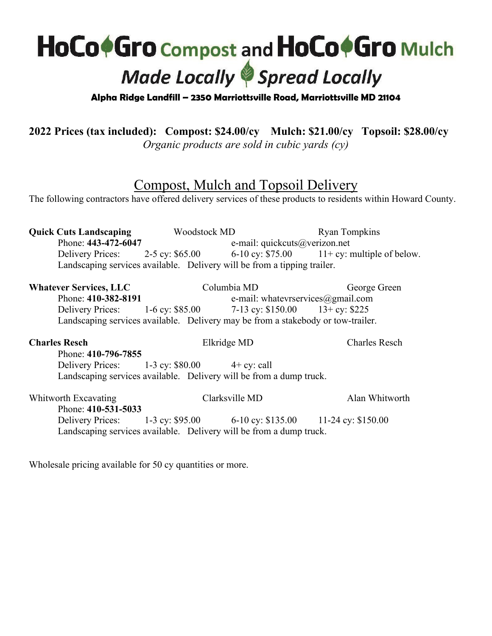## **HoCo+Gro Compost and HoCo+Gro Mulch Made Locally Spread Locally**

**Alpha Ridge Landfill – 2350 Marriottsville Road, Marriottsville MD 21104**

**2022 Prices (tax included): Compost: \$24.00/cy Mulch: \$21.00/cy Topsoil: \$28.00/cy**

*Organic products are sold in cubic yards (cy)*

## Compost, Mulch and Topsoil Delivery

The following contractors have offered delivery services of these products to residents within Howard County.

**Quick Cuts Landscaping** Woodstock MD Ryan Tompkins Phone: **443-472-6047** e-mail: quickcuts@verizon.net Delivery Prices: 2-5 cy: \$65.00 6-10 cy: \$75.00 11+ cy: multiple of below. Landscaping services available. Delivery will be from a tipping trailer. **Whatever Services, LLC** Columbia MD George Green Phone: **410-382-8191** e-mail: whatevrservices@gmail.com Delivery Prices: 1-6 cy: \$85.00 7-13 cy: \$150.00 13+ cy: \$225 Landscaping services available. Delivery may be from a stakebody or tow-trailer. **Charles Resch** Elkridge MD Charles Resch Phone: **410-796-7855** Delivery Prices: 1-3 cy: \$80.00 4+ cy: call Landscaping services available. Delivery will be from a dump truck. Whitworth Excavating Clarksville MD Alan Whitworth Phone: **410-531-5033** Delivery Prices: 1-3 cy: \$95.00 6-10 cy: \$135.00 11-24 cy: \$150.00 Landscaping services available. Delivery will be from a dump truck.

Wholesale pricing available for 50 cy quantities or more.